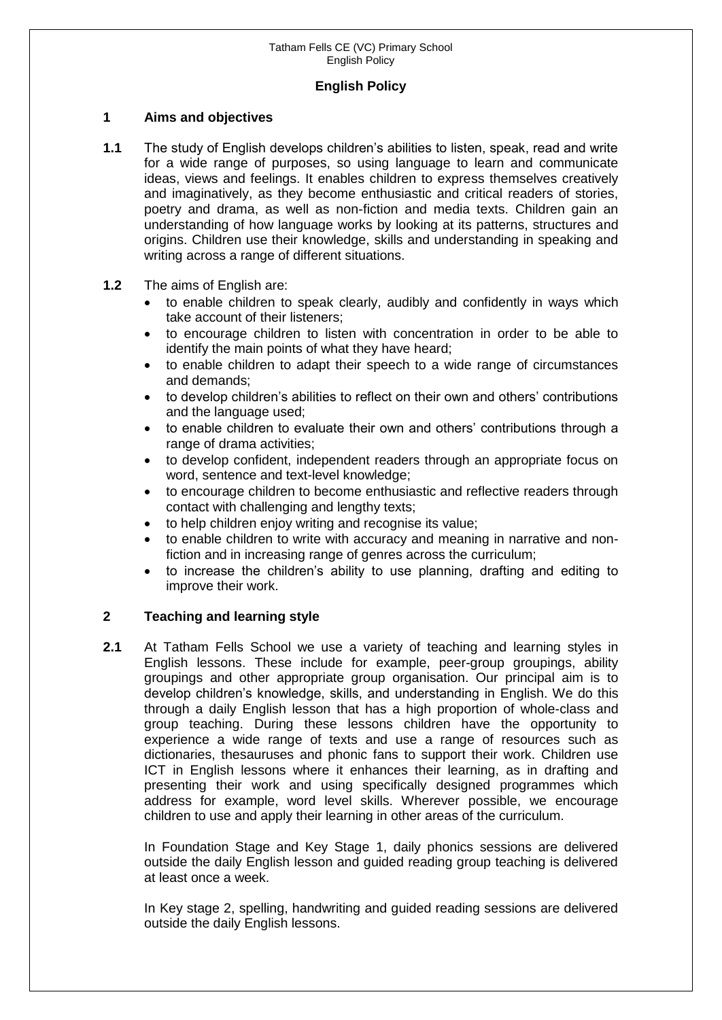## **English Policy**

## **1 Aims and objectives**

- **1.1** The study of English develops children's abilities to listen, speak, read and write for a wide range of purposes, so using language to learn and communicate ideas, views and feelings. It enables children to express themselves creatively and imaginatively, as they become enthusiastic and critical readers of stories, poetry and drama, as well as non-fiction and media texts. Children gain an understanding of how language works by looking at its patterns, structures and origins. Children use their knowledge, skills and understanding in speaking and writing across a range of different situations.
- **1.2** The aims of English are:
	- to enable children to speak clearly, audibly and confidently in ways which take account of their listeners;
	- to encourage children to listen with concentration in order to be able to identify the main points of what they have heard;
	- to enable children to adapt their speech to a wide range of circumstances and demands;
	- to develop children's abilities to reflect on their own and others' contributions and the language used;
	- to enable children to evaluate their own and others' contributions through a range of drama activities;
	- to develop confident, independent readers through an appropriate focus on word, sentence and text-level knowledge;
	- to encourage children to become enthusiastic and reflective readers through contact with challenging and lengthy texts;
	- to help children enjoy writing and recognise its value;
	- to enable children to write with accuracy and meaning in narrative and nonfiction and in increasing range of genres across the curriculum;
	- to increase the children's ability to use planning, drafting and editing to improve their work.

# **2 Teaching and learning style**

**2.1** At Tatham Fells School we use a variety of teaching and learning styles in English lessons. These include for example, peer-group groupings, ability groupings and other appropriate group organisation. Our principal aim is to develop children's knowledge, skills, and understanding in English. We do this through a daily English lesson that has a high proportion of whole-class and group teaching. During these lessons children have the opportunity to experience a wide range of texts and use a range of resources such as dictionaries, thesauruses and phonic fans to support their work. Children use ICT in English lessons where it enhances their learning, as in drafting and presenting their work and using specifically designed programmes which address for example, word level skills. Wherever possible, we encourage children to use and apply their learning in other areas of the curriculum.

In Foundation Stage and Key Stage 1, daily phonics sessions are delivered outside the daily English lesson and guided reading group teaching is delivered at least once a week.

In Key stage 2, spelling, handwriting and guided reading sessions are delivered outside the daily English lessons.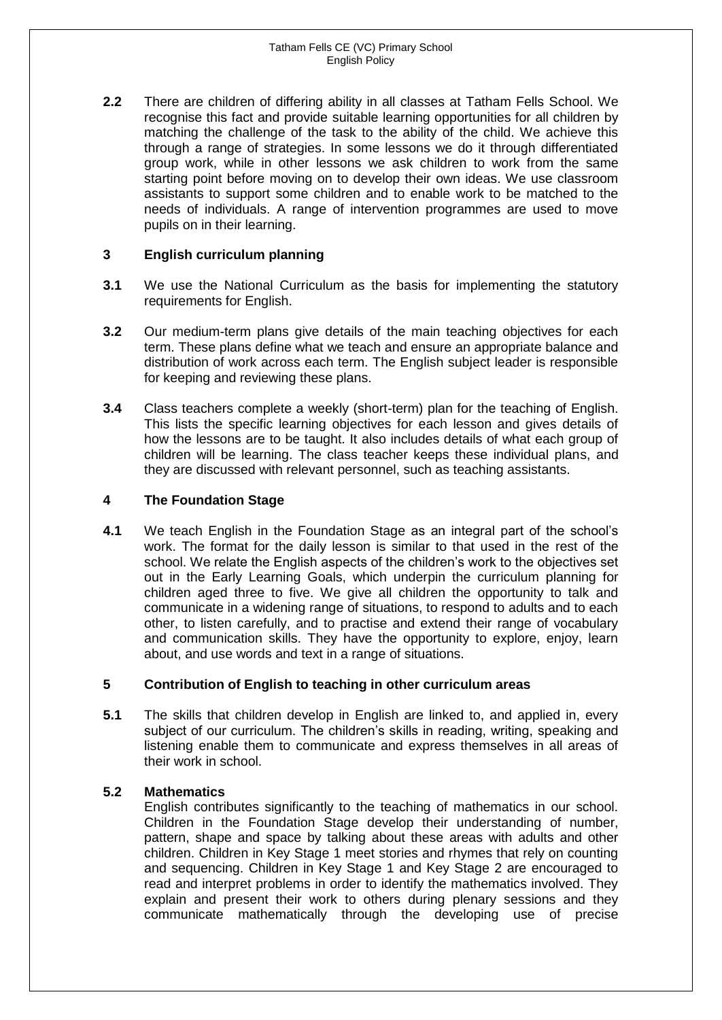**2.2** There are children of differing ability in all classes at Tatham Fells School. We recognise this fact and provide suitable learning opportunities for all children by matching the challenge of the task to the ability of the child. We achieve this through a range of strategies. In some lessons we do it through differentiated group work, while in other lessons we ask children to work from the same starting point before moving on to develop their own ideas. We use classroom assistants to support some children and to enable work to be matched to the needs of individuals. A range of intervention programmes are used to move pupils on in their learning.

## **3 English curriculum planning**

- **3.1** We use the National Curriculum as the basis for implementing the statutory requirements for English.
- **3.2** Our medium-term plans give details of the main teaching objectives for each term. These plans define what we teach and ensure an appropriate balance and distribution of work across each term. The English subject leader is responsible for keeping and reviewing these plans.
- **3.4** Class teachers complete a weekly (short-term) plan for the teaching of English. This lists the specific learning objectives for each lesson and gives details of how the lessons are to be taught. It also includes details of what each group of children will be learning. The class teacher keeps these individual plans, and they are discussed with relevant personnel, such as teaching assistants.

## **4 The Foundation Stage**

**4.1** We teach English in the Foundation Stage as an integral part of the school's work. The format for the daily lesson is similar to that used in the rest of the school. We relate the English aspects of the children's work to the objectives set out in the Early Learning Goals, which underpin the curriculum planning for children aged three to five. We give all children the opportunity to talk and communicate in a widening range of situations, to respond to adults and to each other, to listen carefully, and to practise and extend their range of vocabulary and communication skills. They have the opportunity to explore, enjoy, learn about, and use words and text in a range of situations.

## **5 Contribution of English to teaching in other curriculum areas**

**5.1** The skills that children develop in English are linked to, and applied in, every subject of our curriculum. The children's skills in reading, writing, speaking and listening enable them to communicate and express themselves in all areas of their work in school.

## **5.2 Mathematics**

English contributes significantly to the teaching of mathematics in our school. Children in the Foundation Stage develop their understanding of number, pattern, shape and space by talking about these areas with adults and other children. Children in Key Stage 1 meet stories and rhymes that rely on counting and sequencing. Children in Key Stage 1 and Key Stage 2 are encouraged to read and interpret problems in order to identify the mathematics involved. They explain and present their work to others during plenary sessions and they communicate mathematically through the developing use of precise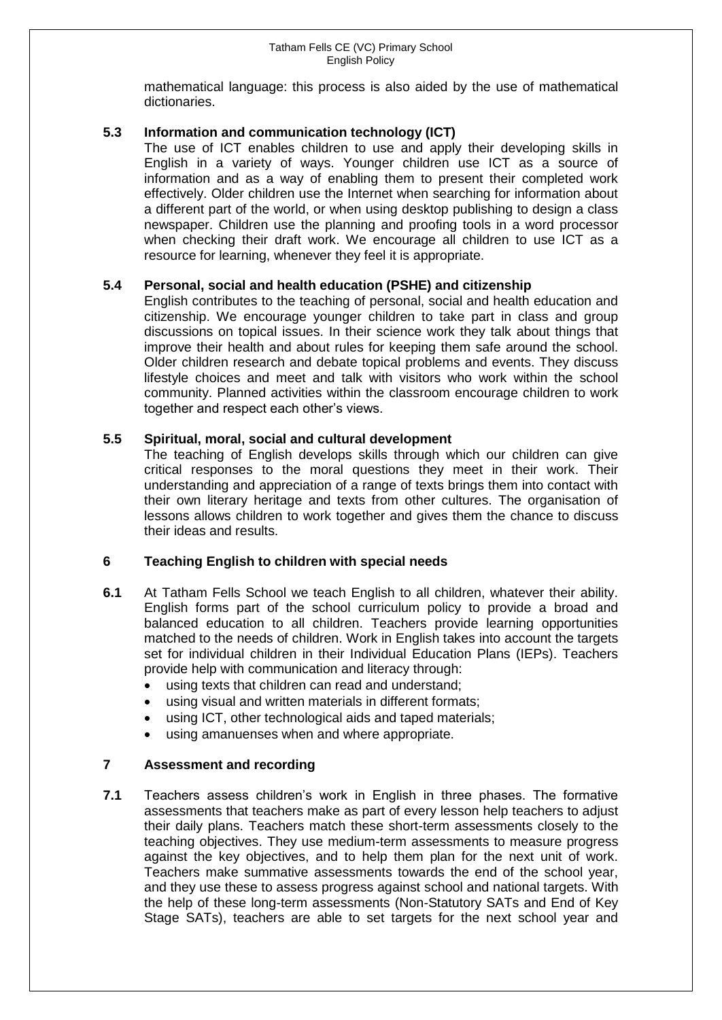mathematical language: this process is also aided by the use of mathematical dictionaries.

## **5.3 Information and communication technology (ICT)**

The use of ICT enables children to use and apply their developing skills in English in a variety of ways. Younger children use ICT as a source of information and as a way of enabling them to present their completed work effectively. Older children use the Internet when searching for information about a different part of the world, or when using desktop publishing to design a class newspaper. Children use the planning and proofing tools in a word processor when checking their draft work. We encourage all children to use ICT as a resource for learning, whenever they feel it is appropriate.

## **5.4 Personal, social and health education (PSHE) and citizenship**

English contributes to the teaching of personal, social and health education and citizenship. We encourage younger children to take part in class and group discussions on topical issues. In their science work they talk about things that improve their health and about rules for keeping them safe around the school. Older children research and debate topical problems and events. They discuss lifestyle choices and meet and talk with visitors who work within the school community. Planned activities within the classroom encourage children to work together and respect each other's views.

## **5.5 Spiritual, moral, social and cultural development**

The teaching of English develops skills through which our children can give critical responses to the moral questions they meet in their work. Their understanding and appreciation of a range of texts brings them into contact with their own literary heritage and texts from other cultures. The organisation of lessons allows children to work together and gives them the chance to discuss their ideas and results.

## **6 Teaching English to children with special needs**

- **6.1** At Tatham Fells School we teach English to all children, whatever their ability. English forms part of the school curriculum policy to provide a broad and balanced education to all children. Teachers provide learning opportunities matched to the needs of children. Work in English takes into account the targets set for individual children in their Individual Education Plans (IEPs). Teachers provide help with communication and literacy through:
	- using texts that children can read and understand;
	- using visual and written materials in different formats;
	- using ICT, other technological aids and taped materials;
	- using amanuenses when and where appropriate.

## **7 Assessment and recording**

**7.1** Teachers assess children's work in English in three phases. The formative assessments that teachers make as part of every lesson help teachers to adjust their daily plans. Teachers match these short-term assessments closely to the teaching objectives. They use medium-term assessments to measure progress against the key objectives, and to help them plan for the next unit of work. Teachers make summative assessments towards the end of the school year, and they use these to assess progress against school and national targets. With the help of these long-term assessments (Non-Statutory SATs and End of Key Stage SATs), teachers are able to set targets for the next school year and